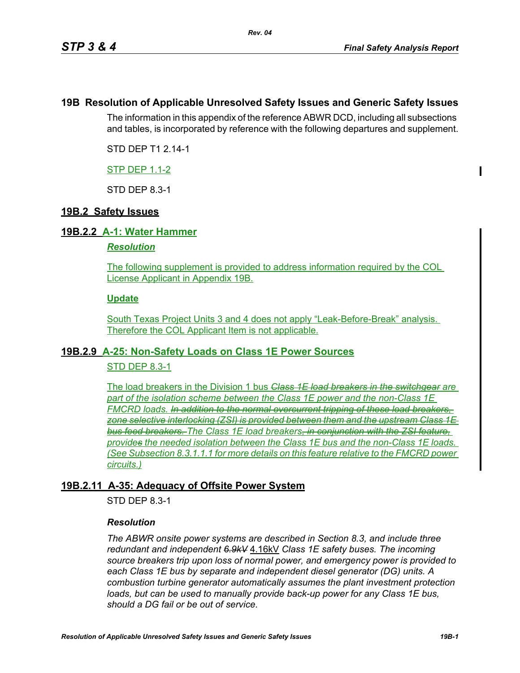# **19B Resolution of Applicable Unresolved Safety Issues and Generic Safety Issues**

The information in this appendix of the reference ABWR DCD, including all subsections and tables, is incorporated by reference with the following departures and supplement.

STD DEP T1 2.14-1

# STP DEP 1.1-2

STD DEP 8.3-1

#### **19B.2 Safety Issues**

#### **19B.2.2 A-1: Water Hammer**

#### *Resolution*

The following supplement is provided to address information required by the COL License Applicant in Appendix 19B.

#### **Update**

South Texas Project Units 3 and 4 does not apply "Leak-Before-Break" analysis. Therefore the COL Applicant Item is not applicable.

#### **19B.2.9 A-25: Non-Safety Loads on Class 1E Power Sources**

#### STD DEP 8.3-1

The load breakers in the Division 1 bus *Class 1E load breakers in the switchgear are part of the isolation scheme between the Class 1E power and the non-Class 1E FMCRD loads. In addition to the normal overcurrent tripping of these load breakers, zone selective interlocking (ZSI) is provided between them and the upstream Class 1E bus feed breakers. The Class 1E load breakers, in conjunction with the ZSI feature, provides the needed isolation between the Class 1E bus and the non-Class 1E loads. (See Subsection 8.3.1.1.1 for more details on this feature relative to the FMCRD power circuits.)*

#### **19B.2.11 A-35: Adequacy of Offsite Power System**

STD DEP 8.3-1

#### *Resolution*

*The ABWR onsite power systems are described in Section 8.3, and include three redundant and independent 6.9kV* 4.16kV *Class 1E safety buses. The incoming source breakers trip upon loss of normal power, and emergency power is provided to each Class 1E bus by separate and independent diesel generator (DG) units. A combustion turbine generator automatically assumes the plant investment protection*  loads, but can be used to manually provide back-up power for any Class 1E bus, *should a DG fail or be out of service.*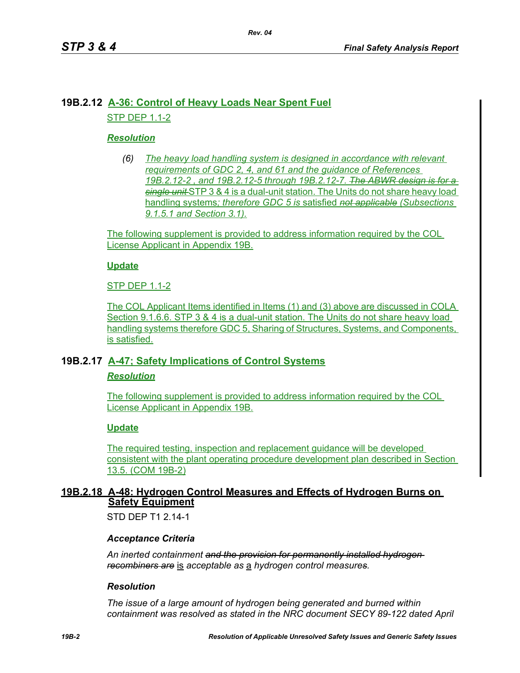# **19B.2.12 A-36: Control of Heavy Loads Near Spent Fuel** STP DEP 1.1-2

# *Resolution*

*(6) The heavy load handling system is designed in accordance with relevant requirements of GDC 2, 4, and 61 and the guidance of References 19B.2.12-2 , and 19B.2.12-5 through 19B.2.12-7. The ABWR design is for a single unit* STP 3 & 4 is a dual-unit station. The Units do not share heavy load handling systems*; therefore GDC 5 is* satisfied *not applicable (Subsections 9.1.5.1 and Section 3.1).*

The following supplement is provided to address information required by the COL License Applicant in Appendix 19B.

# **Update**

#### STP DEP 1.1-2

The COL Applicant Items identified in Items (1) and (3) above are discussed in COLA Section 9.1.6.6. STP 3 & 4 is a dual-unit station. The Units do not share heavy load handling systems therefore GDC 5, Sharing of Structures, Systems, and Components, is satisfied.

# **19B.2.17 A-47; Safety Implications of Control Systems**

#### *Resolution*

The following supplement is provided to address information required by the COL License Applicant in Appendix 19B.

#### **Update**

The required testing, inspection and replacement guidance will be developed consistent with the plant operating procedure development plan described in Section 13.5. (COM 19B-2)

# **19B.2.18 A-48: Hydrogen Control Measures and Effects of Hydrogen Burns on Safety Equipment**

STD DEP T1 2 14-1

#### *Acceptance Criteria*

*An inerted containment and the provision for permanently installed hydrogen recombiners are* is *acceptable as* a *hydrogen control measures.*

#### *Resolution*

*The issue of a large amount of hydrogen being generated and burned within containment was resolved as stated in the NRC document SECY 89-122 dated April*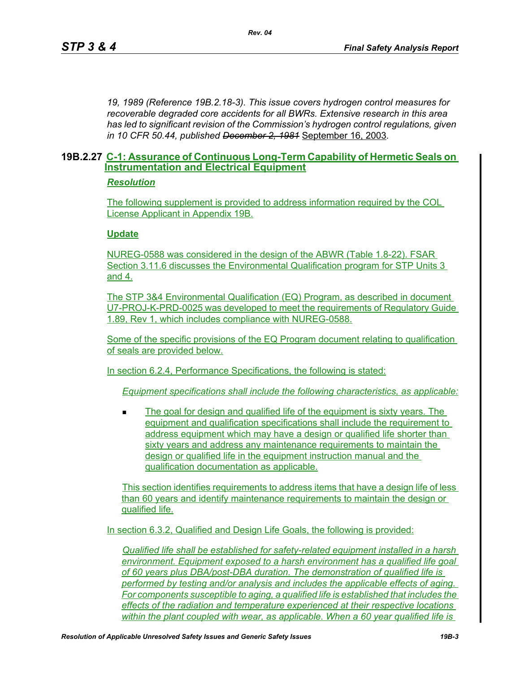*19, 1989 (Reference 19B.2.18-3). This issue covers hydrogen control measures for recoverable degraded core accidents for all BWRs. Extensive research in this area has led to significant revision of the Commission's hydrogen control regulations, given in 10 CFR 50.44, published December 2, 1981* September 16, 2003*.*

# **19B.2.27 C-1: Assurance of Continuous Long-Term Capability of Hermetic Seals on Instrumentation and Electrical Equipment** *Resolution*

The following supplement is provided to address information required by the COL License Applicant in Appendix 19B.

#### **Update**

NUREG-0588 was considered in the design of the ABWR (Table 1.8-22). FSAR Section 3.11.6 discusses the Environmental Qualification program for STP Units 3 and 4.

The STP 3&4 Environmental Qualification (EQ) Program, as described in document U7-PROJ-K-PRD-0025 was developed to meet the requirements of Regulatory Guide 1.89, Rev 1, which includes compliance with NUREG-0588.

Some of the specific provisions of the EQ Program document relating to qualification of seals are provided below.

In section 6.2.4, Performance Specifications, the following is stated:

*Equipment specifications shall include the following characteristics, as applicable:*

 The goal for design and qualified life of the equipment is sixty years. The equipment and qualification specifications shall include the requirement to address equipment which may have a design or qualified life shorter than sixty years and address any maintenance requirements to maintain the design or qualified life in the equipment instruction manual and the qualification documentation as applicable.

This section identifies requirements to address items that have a design life of less than 60 years and identify maintenance requirements to maintain the design or qualified life.

In section 6.3.2, Qualified and Design Life Goals, the following is provided:

*Qualified life shall be established for safety-related equipment installed in a harsh environment. Equipment exposed to a harsh environment has a qualified life goal of 60 years plus DBA/post-DBA duration. The demonstration of qualified life is performed by testing and/or analysis and includes the applicable effects of aging. For components susceptible to aging, a qualified life is established that includes the effects of the radiation and temperature experienced at their respective locations within the plant coupled with wear, as applicable. When a 60 year qualified life is*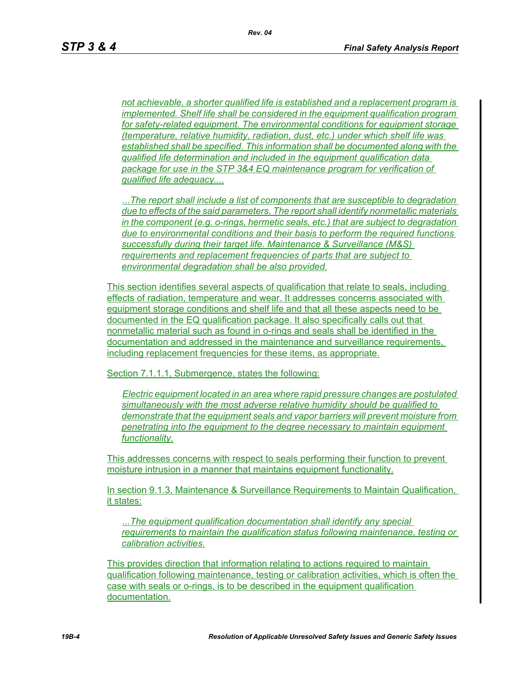*not achievable, a shorter qualified life is established and a replacement program is implemented. Shelf life shall be considered in the equipment qualification program for safety-related equipment. The environmental conditions for equipment storage (temperature, relative humidity, radiation, dust, etc.) under which shelf life was established shall be specified. This information shall be documented along with the qualified life determination and included in the equipment qualification data package for use in the STP 3&4 EQ maintenance program for verification of qualified life adequacy....*

*...The report shall include a list of components that are susceptible to degradation due to effects of the said parameters. The report shall identify nonmetallic materials in the component (e.g. o-rings, hermetic seals, etc.) that are subject to degradation due to environmental conditions and their basis to perform the required functions successfully during their target life. Maintenance & Surveillance (M&S) requirements and replacement frequencies of parts that are subject to environmental degradation shall be also provided.*

This section identifies several aspects of qualification that relate to seals, including effects of radiation, temperature and wear. It addresses concerns associated with equipment storage conditions and shelf life and that all these aspects need to be documented in the EQ qualification package. It also specifically calls out that nonmetallic material such as found in o-rings and seals shall be identified in the documentation and addressed in the maintenance and surveillance requirements, including replacement frequencies for these items, as appropriate.

Section 7.1.1.1, Submergence, states the following:

*Electric equipment located in an area where rapid pressure changes are postulated simultaneously with the most adverse relative humidity should be qualified to demonstrate that the equipment seals and vapor barriers will prevent moisture from penetrating into the equipment to the degree necessary to maintain equipment functionality.*

This addresses concerns with respect to seals performing their function to prevent moisture intrusion in a manner that maintains equipment functionality.

In section 9.1.3, Maintenance & Surveillance Requirements to Maintain Qualification, it states:

*...The equipment qualification documentation shall identify any special requirements to maintain the qualification status following maintenance, testing or calibration activities.*

This provides direction that information relating to actions required to maintain qualification following maintenance, testing or calibration activities, which is often the case with seals or o-rings, is to be described in the equipment qualification documentation.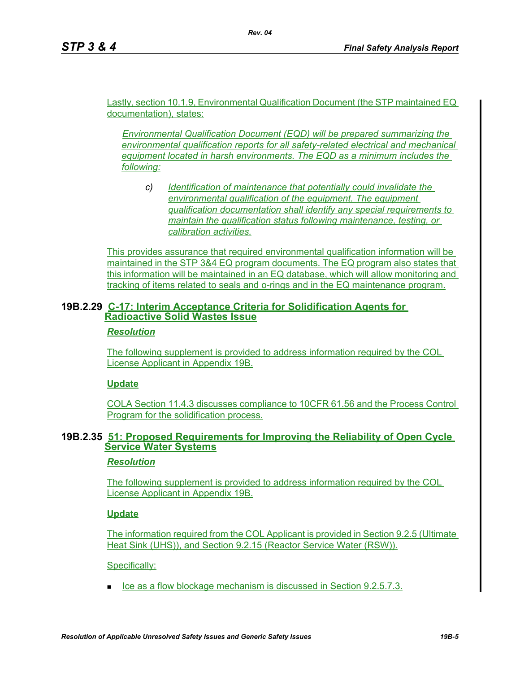Lastly, section 10.1.9, Environmental Qualification Document (the STP maintained EQ documentation), states:

*Rev. 04*

*Environmental Qualification Document (EQD) will be prepared summarizing the environmental qualification reports for all safety-related electrical and mechanical equipment located in harsh environments. The EQD as a minimum includes the following:*

*c) Identification of maintenance that potentially could invalidate the environmental qualification of the equipment. The equipment qualification documentation shall identify any special requirements to maintain the qualification status following maintenance, testing, or calibration activities.*

This provides assurance that required environmental qualification information will be maintained in the STP 3&4 EQ program documents. The EQ program also states that this information will be maintained in an EQ database, which will allow monitoring and tracking of items related to seals and o-rings and in the EQ maintenance program.

#### **19B.2.29 C-17: Interim Acceptance Criteria for Solidification Agents for Radioactive Solid Wastes Issue**

#### *Resolution*

The following supplement is provided to address information required by the COL License Applicant in Appendix 19B.

#### **Update**

COLA Section 11.4.3 discusses compliance to 10CFR 61.56 and the Process Control Program for the solidification process.

#### **19B.2.35 51: Proposed Requirements for Improving the Reliability of Open Cycle Service Water Systems**

#### *Resolution*

The following supplement is provided to address information required by the COL License Applicant in Appendix 19B.

#### **Update**

The information required from the COL Applicant is provided in Section 9.2.5 (Ultimate Heat Sink (UHS)), and Section 9.2.15 (Reactor Service Water (RSW)).

Specifically:

 $\blacksquare$  Ice as a flow blockage mechanism is discussed in Section 9.2.5.7.3.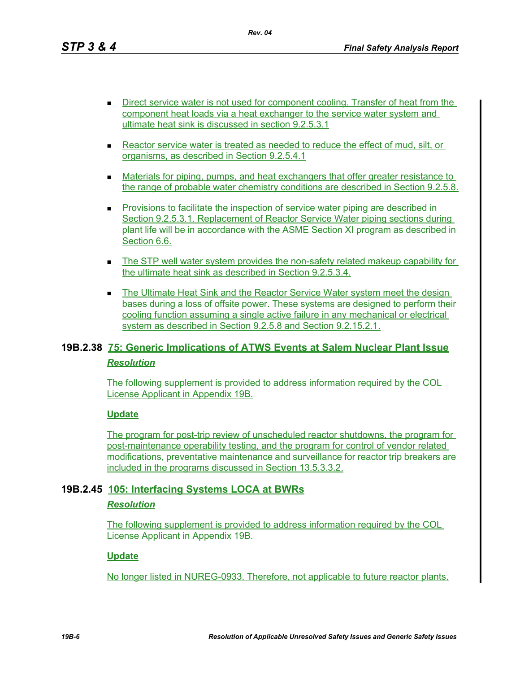- **Direct service water is not used for component cooling. Transfer of heat from the** component heat loads via a heat exchanger to the service water system and ultimate heat sink is discussed in section 9.2.5.3.1
- Reactor service water is treated as needed to reduce the effect of mud, silt, or organisms, as described in Section 9.2.5.4.1
- **Materials for piping, pumps, and heat exchangers that offer greater resistance to** the range of probable water chemistry conditions are described in Section 9.2.5.8.
- **Provisions to facilitate the inspection of service water piping are described in** Section 9.2.5.3.1. Replacement of Reactor Service Water piping sections during plant life will be in accordance with the ASME Section XI program as described in Section 6.6.
- The STP well water system provides the non-safety related makeup capability for the ultimate heat sink as described in Section 9.2.5.3.4.
- **The Ultimate Heat Sink and the Reactor Service Water system meet the design** bases during a loss of offsite power. These systems are designed to perform their cooling function assuming a single active failure in any mechanical or electrical system as described in Section 9.2.5.8 and Section 9.2.15.2.1.

# **19B.2.38 75: Generic Implications of ATWS Events at Salem Nuclear Plant Issue** *Resolution*

The following supplement is provided to address information required by the COL License Applicant in Appendix 19B.

#### **Update**

The program for post-trip review of unscheduled reactor shutdowns, the program for post-maintenance operability testing, and the program for control of vendor related modifications, preventative maintenance and surveillance for reactor trip breakers are included in the programs discussed in Section 13.5.3.3.2.

# **19B.2.45 105: Interfacing Systems LOCA at BWRs**

#### *Resolution*

The following supplement is provided to address information required by the COL License Applicant in Appendix 19B.

#### **Update**

No longer listed in NUREG-0933. Therefore, not applicable to future reactor plants.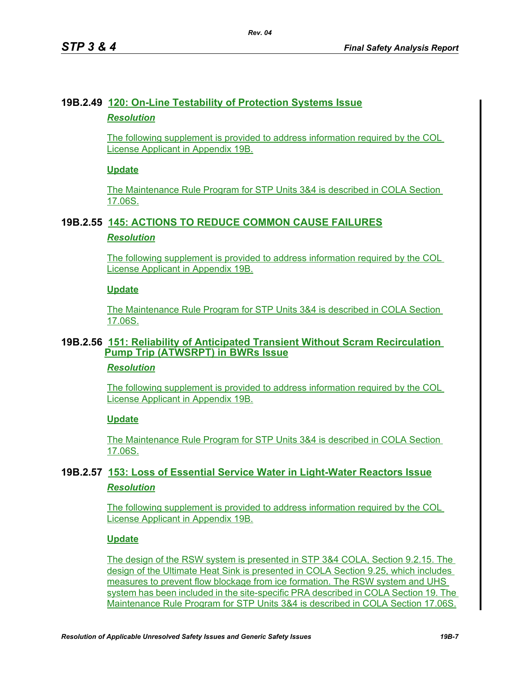# **19B.2.49 120: On-Line Testability of Protection Systems Issue** *Resolution*

The following supplement is provided to address information required by the COL License Applicant in Appendix 19B.

# **Update**

The Maintenance Rule Program for STP Units 3&4 is described in COLA Section 17.06S.

# **19B.2.55 145: ACTIONS TO REDUCE COMMON CAUSE FAILURES**

#### *Resolution*

The following supplement is provided to address information required by the COL License Applicant in Appendix 19B.

# **Update**

The Maintenance Rule Program for STP Units 3&4 is described in COLA Section 17.06S.

# **19B.2.56 151: Reliability of Anticipated Transient Without Scram Recirculation Pump Trip (ATWSRPT) in BWRs Issue**

#### *Resolution*

The following supplement is provided to address information required by the COL License Applicant in Appendix 19B.

# **Update**

The Maintenance Rule Program for STP Units 3&4 is described in COLA Section 17.06S.

# **19B.2.57 153: Loss of Essential Service Water in Light-Water Reactors Issue** *Resolution*

The following supplement is provided to address information required by the COL License Applicant in Appendix 19B.

# **Update**

The design of the RSW system is presented in STP 3&4 COLA, Section 9.2.15. The design of the Ultimate Heat Sink is presented in COLA Section 9.25, which includes measures to prevent flow blockage from ice formation. The RSW system and UHS system has been included in the site-specific PRA described in COLA Section 19. The Maintenance Rule Program for STP Units 3&4 is described in COLA Section 17.06S.